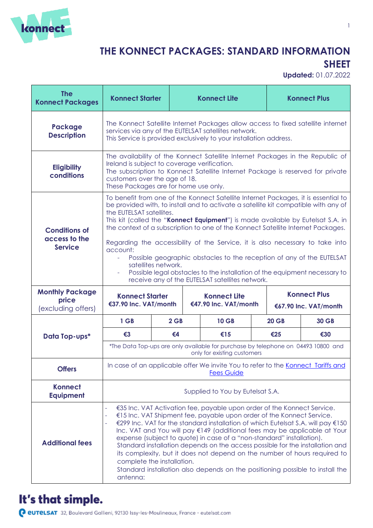

#### **THE KONNECT PACKAGES: STANDARD INFORMATION SHEET**

**Updated:** 01.07.2022

| <b>The</b><br><b>Konnect Packages</b>                   | <b>Konnect Starter</b>                                                                                                                                                                                                                                                                                                                                                                                                                                                                                                                                                                                                                                                                                           |        | <b>Konnect Lite</b>                                                                                              |              | <b>Konnect Plus</b>                          |
|---------------------------------------------------------|------------------------------------------------------------------------------------------------------------------------------------------------------------------------------------------------------------------------------------------------------------------------------------------------------------------------------------------------------------------------------------------------------------------------------------------------------------------------------------------------------------------------------------------------------------------------------------------------------------------------------------------------------------------------------------------------------------------|--------|------------------------------------------------------------------------------------------------------------------|--------------|----------------------------------------------|
| Package<br><b>Description</b>                           | The Konnect Satellite Internet Packages allow access to fixed satellite internet<br>services via any of the EUTELSAT satellites network.<br>This Service is provided exclusively to your installation address.                                                                                                                                                                                                                                                                                                                                                                                                                                                                                                   |        |                                                                                                                  |              |                                              |
| <b>Eligibility</b><br>conditions                        | The availability of the Konnect Satellite Internet Packages in the Republic of<br>Ireland is subject to coverage verification.<br>The subscription to Konnect Satellite Internet Package is reserved for private<br>customers over the age of 18.<br>These Packages are for home use only.                                                                                                                                                                                                                                                                                                                                                                                                                       |        |                                                                                                                  |              |                                              |
| <b>Conditions of</b><br>access to the<br><b>Service</b> | To benefit from one of the Konnect Satellite Internet Packages, it is essential to<br>be provided with, to install and to activate a satellite kit compatible with any of<br>the EUTELSAT satellites.<br>This kit (called the "Konnect Equipment") is made available by Eutelsat S.A. in<br>the context of a subscription to one of the Konnect Satellite Internet Packages.<br>Regarding the accessibility of the Service, it is also necessary to take into<br>account:<br>Possible geographic obstacles to the reception of any of the EUTELSAT<br>÷.<br>satellites network.<br>Possible legal obstacles to the installation of the equipment necessary to<br>receive any of the EUTELSAT satellites network. |        |                                                                                                                  |              |                                              |
|                                                         |                                                                                                                                                                                                                                                                                                                                                                                                                                                                                                                                                                                                                                                                                                                  |        |                                                                                                                  |              |                                              |
| <b>Monthly Package</b><br>price<br>(excluding offers)   | <b>Konnect Starter</b><br>€37.90 Inc. VAT/month                                                                                                                                                                                                                                                                                                                                                                                                                                                                                                                                                                                                                                                                  |        | <b>Konnect Lite</b><br>€47.90 Inc. VAT/month                                                                     |              | <b>Konnect Plus</b><br>€67.90 Inc. VAT/month |
|                                                         | 1 GB                                                                                                                                                                                                                                                                                                                                                                                                                                                                                                                                                                                                                                                                                                             | $2$ GB | <b>10 GB</b>                                                                                                     | <b>20 GB</b> | <b>30 GB</b>                                 |
| Data Top-ups*                                           | $\epsilon$ 3                                                                                                                                                                                                                                                                                                                                                                                                                                                                                                                                                                                                                                                                                                     | €4     | €15                                                                                                              | €25          | €30                                          |
|                                                         |                                                                                                                                                                                                                                                                                                                                                                                                                                                                                                                                                                                                                                                                                                                  |        | *The Data Top-ups are only available for purchase by telephone on 04493 10800 and<br>only for existing customers |              |                                              |
| <b>Offers</b>                                           |                                                                                                                                                                                                                                                                                                                                                                                                                                                                                                                                                                                                                                                                                                                  |        | In case of an applicable offer We invite You to refer to the Konnect Tariffs and<br><b>Fees Guide</b>            |              |                                              |
| <b>Konnect</b><br><b>Equipment</b>                      |                                                                                                                                                                                                                                                                                                                                                                                                                                                                                                                                                                                                                                                                                                                  |        | Supplied to You by Eutelsat S.A.                                                                                 |              |                                              |

#### It's that simple.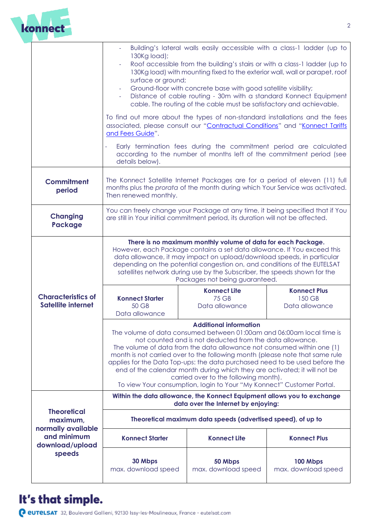

|                                                        | Building's lateral walls easily accessible with a class-1 ladder (up to<br>130Kg load);<br>Roof accessible from the building's stairs or with a class-1 ladder (up to<br>130Kg load) with mounting fixed to the exterior wall, wall or parapet, roof<br>surface or ground;<br>Ground-floor with concrete base with good satellite visibility;<br>Distance of cable routing - 30m with a standard Konnect Equipment<br>cable. The routing of the cable must be satisfactory and achievable.                                                                                                                 |                                                       |                                                 |  |
|--------------------------------------------------------|------------------------------------------------------------------------------------------------------------------------------------------------------------------------------------------------------------------------------------------------------------------------------------------------------------------------------------------------------------------------------------------------------------------------------------------------------------------------------------------------------------------------------------------------------------------------------------------------------------|-------------------------------------------------------|-------------------------------------------------|--|
|                                                        | To find out more about the types of non-standard installations and the fees<br>associated, please consult our "Contractual Conditions" and "Konnect Tariffs<br>and Fees Guide".                                                                                                                                                                                                                                                                                                                                                                                                                            |                                                       |                                                 |  |
|                                                        | Early termination fees during the commitment period are calculated<br>÷,<br>according to the number of months left of the commitment period (see<br>details below).                                                                                                                                                                                                                                                                                                                                                                                                                                        |                                                       |                                                 |  |
| <b>Commitment</b><br>period                            | The Konnect Satellite Internet Packages are for a period of eleven (11) full<br>months plus the prorata of the month during which Your Service was activated.<br>Then renewed monthly.                                                                                                                                                                                                                                                                                                                                                                                                                     |                                                       |                                                 |  |
| <b>Changing</b><br><b>Package</b>                      | You can freely change your Package at any time, it being specified that if You<br>are still in Your initial commitment period, its duration will not be affected.                                                                                                                                                                                                                                                                                                                                                                                                                                          |                                                       |                                                 |  |
|                                                        | There is no maximum monthly volume of data for each Package.<br>However, each Package contains a set data allowance. If You exceed this<br>data allowance, it may impact on upload/download speeds, in particular<br>depending on the potential congestion on, and conditions of the EUTELSAT<br>satellites network during use by the Subscriber, the speeds shown for the<br>Packages not being guaranteed.                                                                                                                                                                                               |                                                       |                                                 |  |
| <b>Characteristics of</b><br><b>Satellite internet</b> | <b>Konnect Starter</b><br>50 GB<br>Data allowance                                                                                                                                                                                                                                                                                                                                                                                                                                                                                                                                                          | <b>Konnect Lite</b><br><b>75 GB</b><br>Data allowance | <b>Konnect Plus</b><br>150 GB<br>Data allowance |  |
|                                                        | <b>Additional information</b><br>The volume of data consumed between 01:00am and 06:00am local time is<br>not counted and is not deducted from the data allowance.<br>The volume of data from the data allowance not consumed within one (1)<br>month is not carried over to the following month (please note that same rule<br>applies for the Data Top-ups: the data purchased need to be used before the<br>end of the calendar month during which they are activated; it will not be<br>carried over to the following month).<br>To view Your consumption, login to Your "My Konnect" Customer Portal. |                                                       |                                                 |  |
|                                                        | Within the data allowance, the Konnect Equipment allows you to exchange<br>data over the Internet by enjoying:                                                                                                                                                                                                                                                                                                                                                                                                                                                                                             |                                                       |                                                 |  |
| <b>Theoretical</b><br>maximum,<br>normally available   | Theoretical maximum data speeds (advertised speed), of up to                                                                                                                                                                                                                                                                                                                                                                                                                                                                                                                                               |                                                       |                                                 |  |
| and minimum<br>download/upload                         | <b>Konnect Starter</b>                                                                                                                                                                                                                                                                                                                                                                                                                                                                                                                                                                                     | <b>Konnect Lite</b>                                   | <b>Konnect Plus</b>                             |  |
| speeds                                                 | 30 Mbps<br>max. download speed                                                                                                                                                                                                                                                                                                                                                                                                                                                                                                                                                                             | 50 Mbps<br>max. download speed                        | 100 Mbps<br>max. download speed                 |  |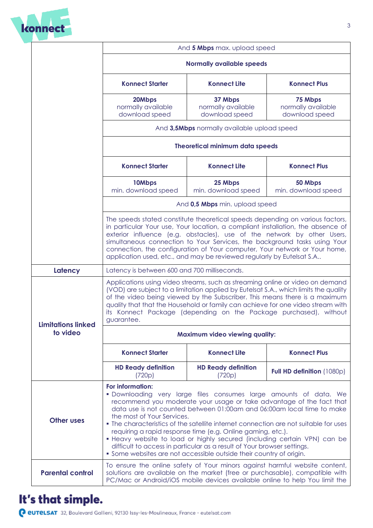

|                           | And 5 Mbps max. upload speed                                                                                                                                                                                                                                                                                                                                                                                                                                                                                                                                                                                                                               |                                                 |                                                 |  |
|---------------------------|------------------------------------------------------------------------------------------------------------------------------------------------------------------------------------------------------------------------------------------------------------------------------------------------------------------------------------------------------------------------------------------------------------------------------------------------------------------------------------------------------------------------------------------------------------------------------------------------------------------------------------------------------------|-------------------------------------------------|-------------------------------------------------|--|
|                           | <b>Normally available speeds</b>                                                                                                                                                                                                                                                                                                                                                                                                                                                                                                                                                                                                                           |                                                 |                                                 |  |
|                           | <b>Konnect Starter</b>                                                                                                                                                                                                                                                                                                                                                                                                                                                                                                                                                                                                                                     | <b>Konnect Lite</b>                             | <b>Konnect Plus</b>                             |  |
|                           | 20Mbps<br>normally available<br>download speed                                                                                                                                                                                                                                                                                                                                                                                                                                                                                                                                                                                                             | 37 Mbps<br>normally available<br>download speed | 75 Mbps<br>normally available<br>download speed |  |
|                           | And 3,5Mbps normally available upload speed<br><b>Theoretical minimum data speeds</b>                                                                                                                                                                                                                                                                                                                                                                                                                                                                                                                                                                      |                                                 |                                                 |  |
|                           |                                                                                                                                                                                                                                                                                                                                                                                                                                                                                                                                                                                                                                                            |                                                 |                                                 |  |
|                           | <b>Konnect Starter</b>                                                                                                                                                                                                                                                                                                                                                                                                                                                                                                                                                                                                                                     | <b>Konnect Lite</b>                             | <b>Konnect Plus</b>                             |  |
|                           | 10Mbps<br>min. download speed                                                                                                                                                                                                                                                                                                                                                                                                                                                                                                                                                                                                                              | 25 Mbps<br>min. download speed                  | 50 Mbps<br>min. download speed                  |  |
|                           | And 0,5 Mbps min. upload speed                                                                                                                                                                                                                                                                                                                                                                                                                                                                                                                                                                                                                             |                                                 |                                                 |  |
|                           | The speeds stated constitute theoretical speeds depending on various factors,<br>in particular Your use, Your location, a compliant installation, the absence of<br>exterior influence (e.g. obstacles), use of the network by other Users,<br>simultaneous connection to Your Services, the background tasks using Your<br>connection, the configuration of Your computer, Your network or Your home,<br>application used, etc., and may be reviewed regularly by Eutelsat S.A                                                                                                                                                                            |                                                 |                                                 |  |
| Latency                   | Latency is between 600 and 700 milliseconds.                                                                                                                                                                                                                                                                                                                                                                                                                                                                                                                                                                                                               |                                                 |                                                 |  |
| <b>Limitations linked</b> | Applications using video streams, such as streaming online or video on demand<br>(VOD) are subject to a limitation applied by Eutelsat S.A., which limits the quality<br>of the video being viewed by the Subscriber. This means there is a maximum<br>quality that that the Household or family can achieve for one video stream with<br>its Konnect Package (depending on the Package purchased), without<br>guarantee.                                                                                                                                                                                                                                  |                                                 |                                                 |  |
| to video                  | <b>Maximum video viewing quality:</b>                                                                                                                                                                                                                                                                                                                                                                                                                                                                                                                                                                                                                      |                                                 |                                                 |  |
|                           | <b>Konnect Starter</b>                                                                                                                                                                                                                                                                                                                                                                                                                                                                                                                                                                                                                                     | <b>Konnect Lite</b>                             | <b>Konnect Plus</b>                             |  |
|                           | <b>HD Ready definition</b><br>(720p)                                                                                                                                                                                                                                                                                                                                                                                                                                                                                                                                                                                                                       | <b>HD Ready definition</b><br>(720p)            | Full HD definition (1080p)                      |  |
| <b>Other uses</b>         | For information:<br>· Downloading very large files consumes large amounts of data. We<br>recommend you moderate your usage or take advantage of the fact that<br>data use is not counted between 01:00am and 06:00am local time to make<br>the most of Your Services.<br>• The characteristics of the satellite internet connection are not suitable for uses<br>requiring a rapid response time (e.g. Online gaming, etc.).<br>• Heavy website to load or highly secured (including certain VPN) can be<br>difficult to access in particular as a result of Your browser settings.<br>• Some websites are not accessible outside their country of origin. |                                                 |                                                 |  |
| <b>Parental control</b>   | To ensure the online safety of Your minors against harmful website content,<br>solutions are available on the market (free or purchasable), compatible with<br>PC/Mac or Android/iOS mobile devices available online to help You limit the                                                                                                                                                                                                                                                                                                                                                                                                                 |                                                 |                                                 |  |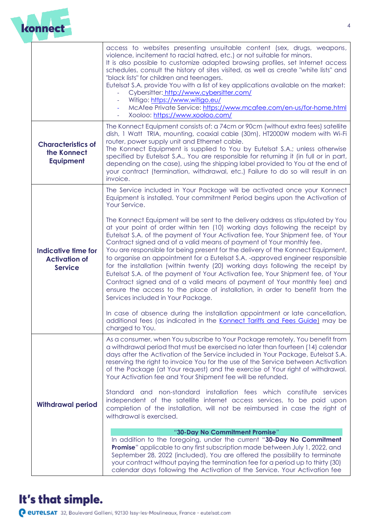

|                                                                      | access to websites presenting unsuitable content (sex, drugs, weapons,<br>violence, incitement to racial hatred, etc.) or not suitable for minors.<br>It is also possible to customize adapted browsing profiles, set Internet access<br>schedules, consult the history of sites visited, as well as create "white lists" and<br>"black lists" for children and teenagers.<br>Eutelsat S.A. provide You with a list of key applications available on the market:<br>Cybersitter: http://www.cybersitter.com/<br>Witigo: https://www.witigo.eu/<br>McAfee Private Service: https://www.mcafee.com/en-us/for-home.html<br>Xooloo: https://www.xooloo.com/                                                                                                                                                                                                                |
|----------------------------------------------------------------------|------------------------------------------------------------------------------------------------------------------------------------------------------------------------------------------------------------------------------------------------------------------------------------------------------------------------------------------------------------------------------------------------------------------------------------------------------------------------------------------------------------------------------------------------------------------------------------------------------------------------------------------------------------------------------------------------------------------------------------------------------------------------------------------------------------------------------------------------------------------------|
| <b>Characteristics of</b><br>the Konnect<br><b>Equipment</b>         | The Konnect Equipment consists of: a 74cm or 90cm (without extra fees) satellite<br>dish, 1 Watt TRIA, mounting, coaxial cable (30m), HT2000W modem with Wi-Fi<br>router, power supply unit and Ethernet cable.<br>The Konnect Equipment is supplied to You by Eutelsat S.A.; unless otherwise<br>specified by Eutelsat S.A., You are responsible for returning it (in full or in part,<br>depending on the case), using the shipping label provided to You at the end of<br>your contract (termination, withdrawal, etc.) Failure to do so will result in an<br>invoice.                                                                                                                                                                                                                                                                                              |
|                                                                      | The Service included in Your Package will be activated once your Konnect<br>Equipment is installed. Your commitment Period begins upon the Activation of<br>Your Service.                                                                                                                                                                                                                                                                                                                                                                                                                                                                                                                                                                                                                                                                                              |
| <b>Indicative time for</b><br><b>Activation of</b><br><b>Service</b> | The Konnect Equipment will be sent to the delivery address as stipulated by You<br>at your point of order within ten (10) working days following the receipt by<br>Eutelsat S.A. of the payment of Your Activation fee, Your Shipment fee, of Your<br>Contract signed and of a valid means of payment of Your monthly fee.<br>You are responsible for being present for the delivery of the Konnect Equipment,<br>to organise an appointment for a Eutelsat S.A. -approved engineer responsible<br>for the installation (within twenty (20) working days following the receipt by<br>Eutelsat S.A. of the payment of Your Activation fee, Your Shipment fee, of Your<br>Contract signed and of a valid means of payment of Your monthly fee) and<br>ensure the access to the place of installation, in order to benefit from the<br>Services included in Your Package. |
|                                                                      | In case of absence during the installation appointment or late cancellation,<br>additional fees (as indicated in the Konnect Tariffs and Fees Guide) may be<br>charged to You.                                                                                                                                                                                                                                                                                                                                                                                                                                                                                                                                                                                                                                                                                         |
|                                                                      | As a consumer, when You subscribe to Your Package remotely, You benefit from<br>a withdrawal period that must be exercised no later than fourteen (14) calendar<br>days after the Activation of the Service included in Your Package, Eutelsat S.A.<br>reserving the right to invoice You for the use of the Service between Activation<br>of the Package (at Your request) and the exercise of Your right of withdrawal.<br>Your Activation fee and Your Shipment fee will be refunded.                                                                                                                                                                                                                                                                                                                                                                               |
| <b>Withdrawal period</b>                                             | Standard and non-standard installation fees which constitute services<br>independent of the satellite internet access services, to be paid upon<br>completion of the installation, will not be reimbursed in case the right of<br>withdrawal is exercised.                                                                                                                                                                                                                                                                                                                                                                                                                                                                                                                                                                                                             |
|                                                                      | "30-Day No Commitment Promise"<br>In addition to the foregoing, under the current "30-Day No Commitment<br><b>Promise</b> " applicable to any first subscription made between July 1, 2022, and<br>September 28, 2022 (included), You are offered the possibility to terminate<br>your contract without paying the termination fee for a period up to thirty (30)<br>calendar days following the Activation of the Service. Your Activation fee                                                                                                                                                                                                                                                                                                                                                                                                                        |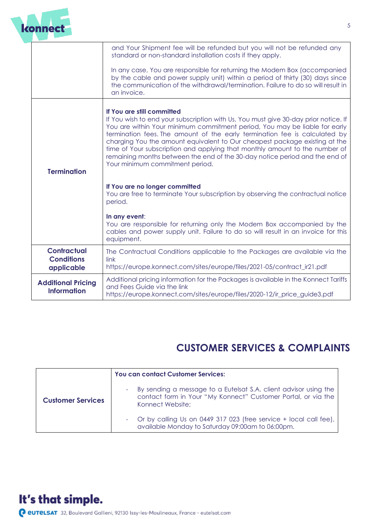

|                                                       | and Your Shipment fee will be refunded but you will not be refunded any<br>standard or non-standard installation costs if they apply.                                                                                                                                                                                                                                                                                                                                                                                                                        |
|-------------------------------------------------------|--------------------------------------------------------------------------------------------------------------------------------------------------------------------------------------------------------------------------------------------------------------------------------------------------------------------------------------------------------------------------------------------------------------------------------------------------------------------------------------------------------------------------------------------------------------|
|                                                       | In any case, You are responsible for returning the Modem Box (accompanied<br>by the cable and power supply unit) within a period of thirty (30) days since<br>the communication of the withdrawal/termination. Failure to do so will result in<br>an invoice.                                                                                                                                                                                                                                                                                                |
| <b>Termination</b>                                    | If You are still committed<br>If You wish to end your subscription with Us, You must give 30-day prior notice. If<br>You are within Your minimum commitment period, You may be liable for early<br>termination fees. The amount of the early termination fee is calculated by<br>charging You the amount equivalent to Our cheapest package existing at the<br>time of Your subscription and applying that monthly amount to the number of<br>remaining months between the end of the 30-day notice period and the end of<br>Your minimum commitment period. |
|                                                       | If You are no longer committed<br>You are free to terminate Your subscription by observing the contractual notice<br>period.                                                                                                                                                                                                                                                                                                                                                                                                                                 |
|                                                       | In any event:<br>You are responsible for returning only the Modem Box accompanied by the<br>cables and power supply unit. Failure to do so will result in an invoice for this<br>equipment.                                                                                                                                                                                                                                                                                                                                                                  |
| <b>Contractual</b><br><b>Conditions</b><br>applicable | The Contractual Conditions applicable to the Packages are available via the<br>link<br>https://europe.konnect.com/sites/europe/files/2021-05/contract_ir21.pdf                                                                                                                                                                                                                                                                                                                                                                                               |
| <b>Additional Pricing</b><br><b>Information</b>       | Additional pricing information for the Packages is available in the Konnect Tariffs<br>and Fees Guide via the link<br>https://europe.konnect.com/sites/europe/files/2020-12/ir_price_guide3.pdf                                                                                                                                                                                                                                                                                                                                                              |

#### **CUSTOMER SERVICES & COMPLAINTS**

|                          | You can contact Customer Services:                                                                                                                    |  |
|--------------------------|-------------------------------------------------------------------------------------------------------------------------------------------------------|--|
| <b>Customer Services</b> | By sending a message to a Eutelsat S.A. client advisor using the<br>contact form in Your "My Konnect" Customer Portal, or via the<br>Konnect Website; |  |
|                          | - Or by calling Us on 0449 317 023 (free service + local call fee),<br>available Monday to Saturday 09:00am to 06:00pm.                               |  |